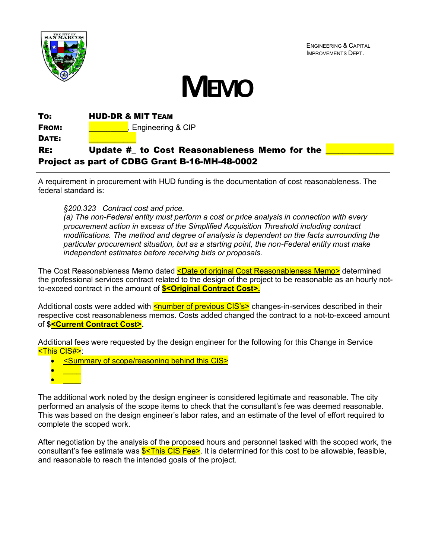

ENGINEERING & CAPITAL IMPROVEMENTS DEPT.



TO: HUD-DR & MIT TEAM **FROM:**  $\begin{array}{c} \hline \end{array}$ , Engineering & CIP DATE: RE: Update # to Cost Reasonableness Memo for the Project as part of CDBG Grant B-16-MH-48-0002

A requirement in procurement with HUD funding is the documentation of cost reasonableness. The federal standard is:

## *§200.323 Contract cost and price.*

*(a) The non-Federal entity must perform a cost or price analysis in connection with every procurement action in excess of the Simplified Acquisition Threshold including contract modifications. The method and degree of analysis is dependent on the facts surrounding the particular procurement situation, but as a starting point, the non-Federal entity must make independent estimates before receiving bids or proposals.*

The Cost Reasonableness Memo dated **<Date of original Cost Reasonableness Memo>** determined the professional services contract related to the design of the project to be reasonable as an hourly notto-exceed contract in the amount of **\$<Original Contract Cost>.** 

Additional costs were added with **<number of previous CIS's>** changes-in-services described in their respective cost reasonableness memos. Costs added changed the contract to a not-to-exceed amount of **\$<Current Contract Cost>.**

Additional fees were requested by the design engineer for the following for this Change in Service <This CIS#>:

- <Summary of scope/reasoning behind this CIS>
- $\bullet$   $\qquad$  $\bullet$   $\qquad$

The additional work noted by the design engineer is considered legitimate and reasonable. The city performed an analysis of the scope items to check that the consultant's fee was deemed reasonable. This was based on the design engineer's labor rates, and an estimate of the level of effort required to complete the scoped work.

After negotiation by the analysis of the proposed hours and personnel tasked with the scoped work, the consultant's fee estimate was  $S<sub>5</sub>$ This CIS Fee>. It is determined for this cost to be allowable, feasible, and reasonable to reach the intended goals of the project.